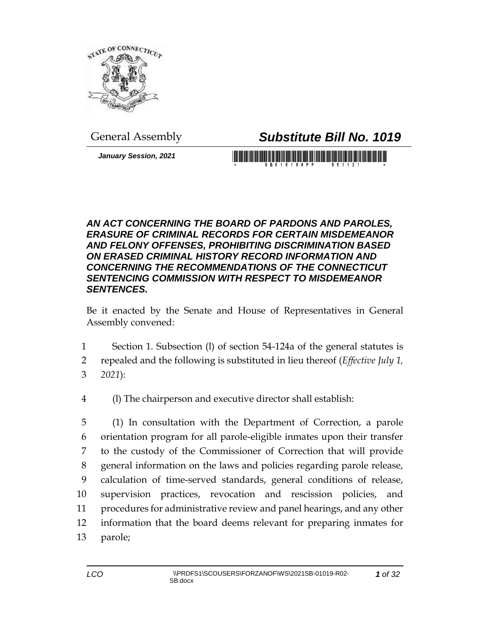

General Assembly *Substitute Bill No. 1019*

*January Session, 2021*

## <u> III Martin III </u>

## *AN ACT CONCERNING THE BOARD OF PARDONS AND PAROLES, ERASURE OF CRIMINAL RECORDS FOR CERTAIN MISDEMEANOR AND FELONY OFFENSES, PROHIBITING DISCRIMINATION BASED ON ERASED CRIMINAL HISTORY RECORD INFORMATION AND CONCERNING THE RECOMMENDATIONS OF THE CONNECTICUT SENTENCING COMMISSION WITH RESPECT TO MISDEMEANOR SENTENCES.*

Be it enacted by the Senate and House of Representatives in General Assembly convened:

- 1 Section 1. Subsection (l) of section 54-124a of the general statutes is
- 2 repealed and the following is substituted in lieu thereof (*Effective July 1,*
- 3 *2021*):
- 4 (l) The chairperson and executive director shall establish:

 (1) In consultation with the Department of Correction, a parole orientation program for all parole-eligible inmates upon their transfer to the custody of the Commissioner of Correction that will provide general information on the laws and policies regarding parole release, calculation of time-served standards, general conditions of release, supervision practices, revocation and rescission policies, and procedures for administrative review and panel hearings, and any other information that the board deems relevant for preparing inmates for 13 parole;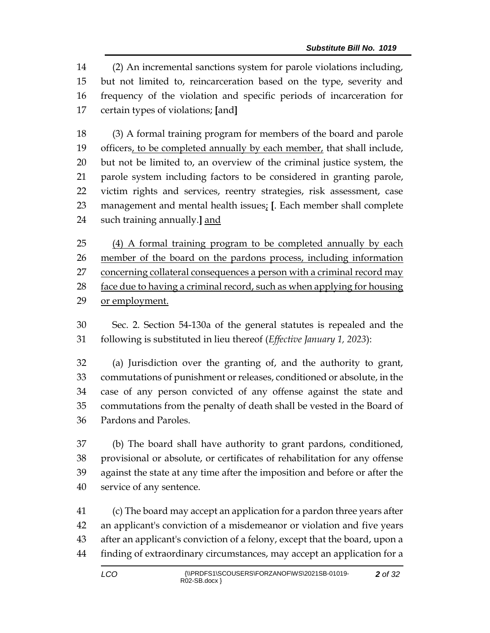(2) An incremental sanctions system for parole violations including, but not limited to, reincarceration based on the type, severity and frequency of the violation and specific periods of incarceration for certain types of violations; **[**and**]**

 (3) A formal training program for members of the board and parole 19 officers, to be completed annually by each member, that shall include, but not be limited to, an overview of the criminal justice system, the parole system including factors to be considered in granting parole, victim rights and services, reentry strategies, risk assessment, case management and mental health issues; **[**. Each member shall complete such training annually.**]** and

 (4) A formal training program to be completed annually by each member of the board on the pardons process, including information 27 concerning collateral consequences a person with a criminal record may face due to having a criminal record, such as when applying for housing or employment.

 Sec. 2. Section 54-130a of the general statutes is repealed and the following is substituted in lieu thereof (*Effective January 1, 2023*):

 (a) Jurisdiction over the granting of, and the authority to grant, commutations of punishment or releases, conditioned or absolute, in the case of any person convicted of any offense against the state and commutations from the penalty of death shall be vested in the Board of Pardons and Paroles.

 (b) The board shall have authority to grant pardons, conditioned, provisional or absolute, or certificates of rehabilitation for any offense against the state at any time after the imposition and before or after the service of any sentence.

 (c) The board may accept an application for a pardon three years after an applicant's conviction of a misdemeanor or violation and five years after an applicant's conviction of a felony, except that the board, upon a finding of extraordinary circumstances, may accept an application for a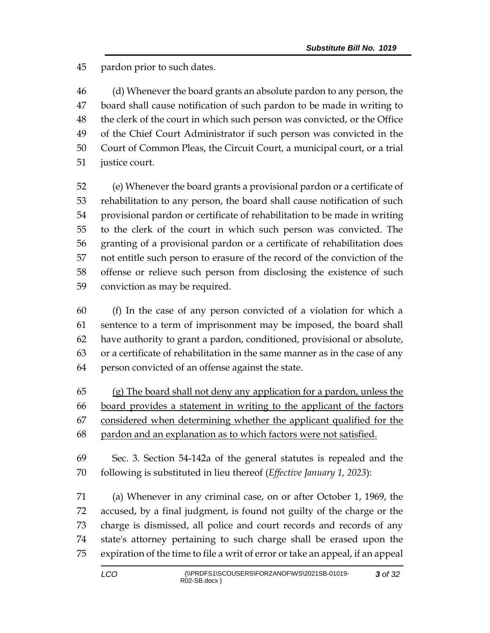pardon prior to such dates.

 (d) Whenever the board grants an absolute pardon to any person, the board shall cause notification of such pardon to be made in writing to the clerk of the court in which such person was convicted, or the Office of the Chief Court Administrator if such person was convicted in the Court of Common Pleas, the Circuit Court, a municipal court, or a trial justice court.

 (e) Whenever the board grants a provisional pardon or a certificate of rehabilitation to any person, the board shall cause notification of such provisional pardon or certificate of rehabilitation to be made in writing to the clerk of the court in which such person was convicted. The granting of a provisional pardon or a certificate of rehabilitation does not entitle such person to erasure of the record of the conviction of the offense or relieve such person from disclosing the existence of such conviction as may be required.

 (f) In the case of any person convicted of a violation for which a sentence to a term of imprisonment may be imposed, the board shall have authority to grant a pardon, conditioned, provisional or absolute, or a certificate of rehabilitation in the same manner as in the case of any person convicted of an offense against the state.

 (g) The board shall not deny any application for a pardon, unless the board provides a statement in writing to the applicant of the factors considered when determining whether the applicant qualified for the pardon and an explanation as to which factors were not satisfied.

 Sec. 3. Section 54-142a of the general statutes is repealed and the following is substituted in lieu thereof (*Effective January 1, 2023*):

 (a) Whenever in any criminal case, on or after October 1, 1969, the accused, by a final judgment, is found not guilty of the charge or the charge is dismissed, all police and court records and records of any state's attorney pertaining to such charge shall be erased upon the expiration of the time to file a writ of error or take an appeal, if an appeal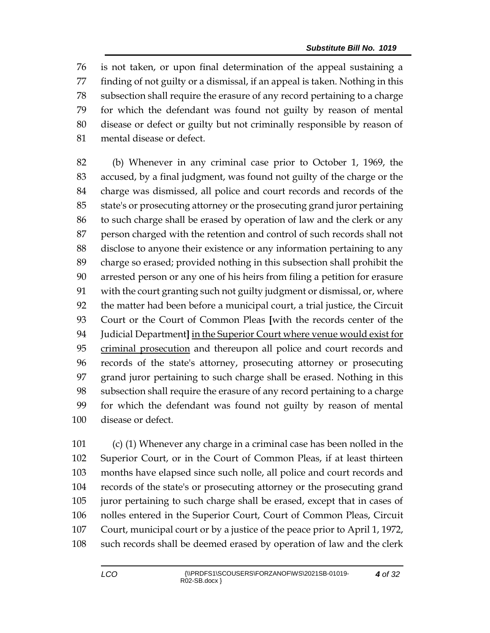is not taken, or upon final determination of the appeal sustaining a finding of not guilty or a dismissal, if an appeal is taken. Nothing in this subsection shall require the erasure of any record pertaining to a charge for which the defendant was found not guilty by reason of mental disease or defect or guilty but not criminally responsible by reason of mental disease or defect.

 (b) Whenever in any criminal case prior to October 1, 1969, the accused, by a final judgment, was found not guilty of the charge or the charge was dismissed, all police and court records and records of the state's or prosecuting attorney or the prosecuting grand juror pertaining to such charge shall be erased by operation of law and the clerk or any person charged with the retention and control of such records shall not disclose to anyone their existence or any information pertaining to any charge so erased; provided nothing in this subsection shall prohibit the arrested person or any one of his heirs from filing a petition for erasure with the court granting such not guilty judgment or dismissal, or, where the matter had been before a municipal court, a trial justice, the Circuit Court or the Court of Common Pleas **[**with the records center of the Judicial Department**]** in the Superior Court where venue would exist for criminal prosecution and thereupon all police and court records and records of the state's attorney, prosecuting attorney or prosecuting grand juror pertaining to such charge shall be erased. Nothing in this subsection shall require the erasure of any record pertaining to a charge for which the defendant was found not guilty by reason of mental disease or defect.

 (c) (1) Whenever any charge in a criminal case has been nolled in the Superior Court, or in the Court of Common Pleas, if at least thirteen months have elapsed since such nolle, all police and court records and records of the state's or prosecuting attorney or the prosecuting grand juror pertaining to such charge shall be erased, except that in cases of nolles entered in the Superior Court, Court of Common Pleas, Circuit Court, municipal court or by a justice of the peace prior to April 1, 1972, such records shall be deemed erased by operation of law and the clerk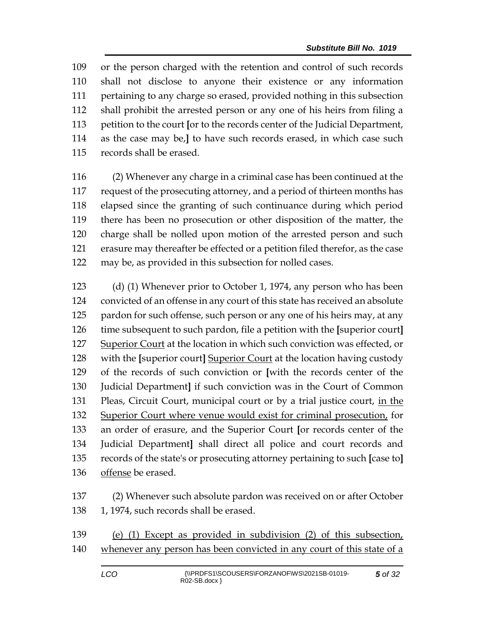or the person charged with the retention and control of such records shall not disclose to anyone their existence or any information pertaining to any charge so erased, provided nothing in this subsection shall prohibit the arrested person or any one of his heirs from filing a petition to the court **[**or to the records center of the Judicial Department, as the case may be,**]** to have such records erased, in which case such records shall be erased.

 (2) Whenever any charge in a criminal case has been continued at the request of the prosecuting attorney, and a period of thirteen months has elapsed since the granting of such continuance during which period there has been no prosecution or other disposition of the matter, the charge shall be nolled upon motion of the arrested person and such erasure may thereafter be effected or a petition filed therefor, as the case may be, as provided in this subsection for nolled cases.

 (d) (1) Whenever prior to October 1, 1974, any person who has been convicted of an offense in any court of this state has received an absolute 125 pardon for such offense, such person or any one of his heirs may, at any time subsequent to such pardon, file a petition with the **[**superior court**]** Superior Court at the location in which such conviction was effected, or with the **[**superior court**]** Superior Court at the location having custody of the records of such conviction or **[**with the records center of the Judicial Department**]** if such conviction was in the Court of Common Pleas, Circuit Court, municipal court or by a trial justice court, in the Superior Court where venue would exist for criminal prosecution, for an order of erasure, and the Superior Court **[**or records center of the Judicial Department**]** shall direct all police and court records and records of the state's or prosecuting attorney pertaining to such **[**case to**]** offense be erased.

- (2) Whenever such absolute pardon was received on or after October 138 1, 1974, such records shall be erased.
- (e) (1) Except as provided in subdivision (2) of this subsection, 140 whenever any person has been convicted in any court of this state of a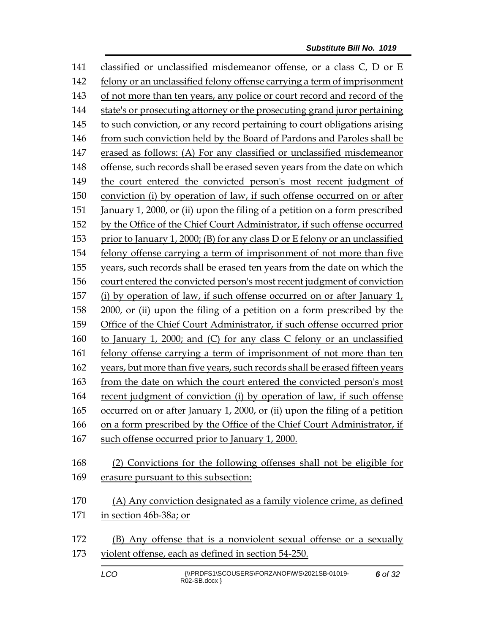141 classified or unclassified misdemeanor offense, or a class C, D or E felony or an unclassified felony offense carrying a term of imprisonment of not more than ten years, any police or court record and record of the state's or prosecuting attorney or the prosecuting grand juror pertaining to such conviction, or any record pertaining to court obligations arising from such conviction held by the Board of Pardons and Paroles shall be erased as follows: (A) For any classified or unclassified misdemeanor offense, such records shall be erased seven years from the date on which the court entered the convicted person's most recent judgment of conviction (i) by operation of law, if such offense occurred on or after January 1, 2000, or (ii) upon the filing of a petition on a form prescribed by the Office of the Chief Court Administrator, if such offense occurred prior to January 1, 2000; (B) for any class D or E felony or an unclassified felony offense carrying a term of imprisonment of not more than five years, such records shall be erased ten years from the date on which the court entered the convicted person's most recent judgment of conviction (i) by operation of law, if such offense occurred on or after January 1, 2000, or (ii) upon the filing of a petition on a form prescribed by the Office of the Chief Court Administrator, if such offense occurred prior to January 1, 2000; and (C) for any class C felony or an unclassified felony offense carrying a term of imprisonment of not more than ten years, but more than five years, such records shall be erased fifteen years from the date on which the court entered the convicted person's most recent judgment of conviction (i) by operation of law, if such offense occurred on or after January 1, 2000, or (ii) upon the filing of a petition on a form prescribed by the Office of the Chief Court Administrator, if such offense occurred prior to January 1, 2000. (2) Convictions for the following offenses shall not be eligible for erasure pursuant to this subsection: (A) Any conviction designated as a family violence crime, as defined in section 46b-38a; or (B) Any offense that is a nonviolent sexual offense or a sexually violent offense, each as defined in section 54-250.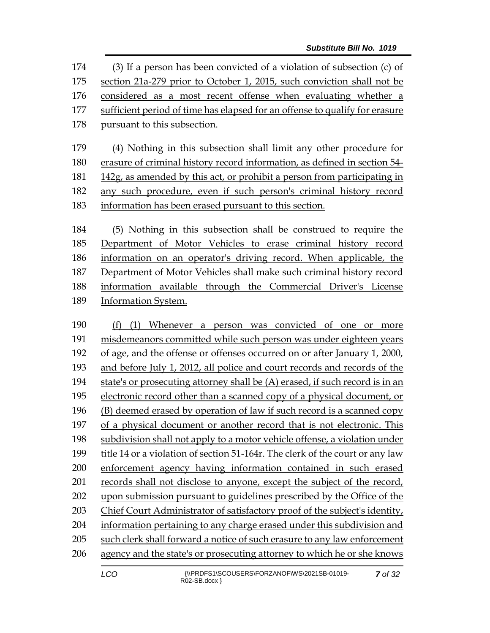(3) If a person has been convicted of a violation of subsection (c) of section 21a-279 prior to October 1, 2015, such conviction shall not be considered as a most recent offense when evaluating whether a sufficient period of time has elapsed for an offense to qualify for erasure pursuant to this subsection.

 (4) Nothing in this subsection shall limit any other procedure for erasure of criminal history record information, as defined in section 54- 142g, as amended by this act, or prohibit a person from participating in any such procedure, even if such person's criminal history record information has been erased pursuant to this section.

 (5) Nothing in this subsection shall be construed to require the Department of Motor Vehicles to erase criminal history record information on an operator's driving record. When applicable, the Department of Motor Vehicles shall make such criminal history record information available through the Commercial Driver's License Information System.

 (f) (1) Whenever a person was convicted of one or more misdemeanors committed while such person was under eighteen years of age, and the offense or offenses occurred on or after January 1, 2000, and before July 1, 2012, all police and court records and records of the state's or prosecuting attorney shall be (A) erased, if such record is in an electronic record other than a scanned copy of a physical document, or (B) deemed erased by operation of law if such record is a scanned copy of a physical document or another record that is not electronic. This subdivision shall not apply to a motor vehicle offense, a violation under title 14 or a violation of section 51-164r. The clerk of the court or any law enforcement agency having information contained in such erased records shall not disclose to anyone, except the subject of the record, upon submission pursuant to guidelines prescribed by the Office of the Chief Court Administrator of satisfactory proof of the subject's identity, information pertaining to any charge erased under this subdivision and such clerk shall forward a notice of such erasure to any law enforcement agency and the state's or prosecuting attorney to which he or she knows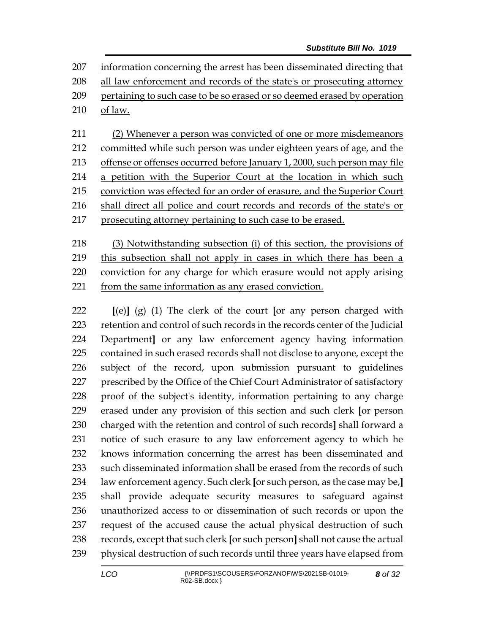information concerning the arrest has been disseminated directing that 208 all law enforcement and records of the state's or prosecuting attorney pertaining to such case to be so erased or so deemed erased by operation of law.

 (2) Whenever a person was convicted of one or more misdemeanors 212 committed while such person was under eighteen years of age, and the offense or offenses occurred before January 1, 2000, such person may file a petition with the Superior Court at the location in which such conviction was effected for an order of erasure, and the Superior Court shall direct all police and court records and records of the state's or prosecuting attorney pertaining to such case to be erased.

 (3) Notwithstanding subsection (i) of this section, the provisions of 219 this subsection shall not apply in cases in which there has been a conviction for any charge for which erasure would not apply arising from the same information as any erased conviction.

 **[**(e)**]** (g) (1) The clerk of the court **[**or any person charged with retention and control of such records in the records center of the Judicial Department**]** or any law enforcement agency having information contained in such erased records shall not disclose to anyone, except the subject of the record, upon submission pursuant to guidelines prescribed by the Office of the Chief Court Administrator of satisfactory proof of the subject's identity, information pertaining to any charge erased under any provision of this section and such clerk **[**or person charged with the retention and control of such records**]** shall forward a notice of such erasure to any law enforcement agency to which he knows information concerning the arrest has been disseminated and such disseminated information shall be erased from the records of such law enforcement agency. Such clerk **[**or such person, as the case may be,**]** shall provide adequate security measures to safeguard against unauthorized access to or dissemination of such records or upon the request of the accused cause the actual physical destruction of such records, except that such clerk **[**or such person**]** shall not cause the actual physical destruction of such records until three years have elapsed from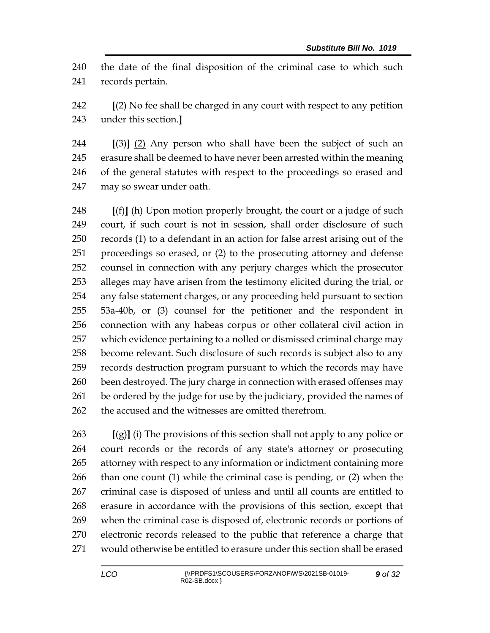the date of the final disposition of the criminal case to which such records pertain.

 **[**(2) No fee shall be charged in any court with respect to any petition under this section.**]**

 **[**(3)**]** (2) Any person who shall have been the subject of such an erasure shall be deemed to have never been arrested within the meaning of the general statutes with respect to the proceedings so erased and may so swear under oath.

 **[**(f)**]** (h) Upon motion properly brought, the court or a judge of such court, if such court is not in session, shall order disclosure of such records (1) to a defendant in an action for false arrest arising out of the proceedings so erased, or (2) to the prosecuting attorney and defense counsel in connection with any perjury charges which the prosecutor alleges may have arisen from the testimony elicited during the trial, or any false statement charges, or any proceeding held pursuant to section 53a-40b, or (3) counsel for the petitioner and the respondent in connection with any habeas corpus or other collateral civil action in which evidence pertaining to a nolled or dismissed criminal charge may become relevant. Such disclosure of such records is subject also to any records destruction program pursuant to which the records may have 260 been destroyed. The jury charge in connection with erased offenses may 261 be ordered by the judge for use by the judiciary, provided the names of the accused and the witnesses are omitted therefrom.

 **[**(g)**]** (i) The provisions of this section shall not apply to any police or court records or the records of any state's attorney or prosecuting attorney with respect to any information or indictment containing more than one count (1) while the criminal case is pending, or (2) when the criminal case is disposed of unless and until all counts are entitled to erasure in accordance with the provisions of this section, except that when the criminal case is disposed of, electronic records or portions of electronic records released to the public that reference a charge that would otherwise be entitled to erasure under this section shall be erased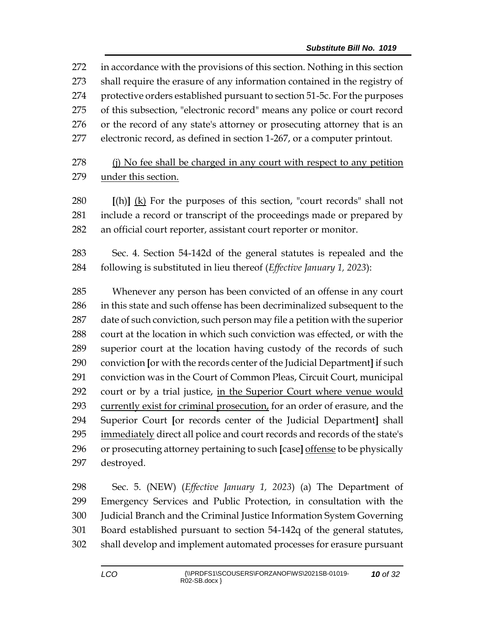in accordance with the provisions of this section. Nothing in this section shall require the erasure of any information contained in the registry of protective orders established pursuant to section 51-5c. For the purposes of this subsection, "electronic record" means any police or court record or the record of any state's attorney or prosecuting attorney that is an electronic record, as defined in section 1-267, or a computer printout.

278 (i) No fee shall be charged in any court with respect to any petition under this section.

 **[**(h)**]** (k) For the purposes of this section, "court records" shall not include a record or transcript of the proceedings made or prepared by an official court reporter, assistant court reporter or monitor.

 Sec. 4. Section 54-142d of the general statutes is repealed and the following is substituted in lieu thereof (*Effective January 1, 2023*):

 Whenever any person has been convicted of an offense in any court in this state and such offense has been decriminalized subsequent to the date of such conviction, such person may file a petition with the superior court at the location in which such conviction was effected, or with the superior court at the location having custody of the records of such conviction **[**or with the records center of the Judicial Department**]** if such conviction was in the Court of Common Pleas, Circuit Court, municipal court or by a trial justice, in the Superior Court where venue would currently exist for criminal prosecution, for an order of erasure, and the Superior Court **[**or records center of the Judicial Department**]** shall 295 immediately direct all police and court records and records of the state's or prosecuting attorney pertaining to such **[**case**]** offense to be physically destroyed.

 Sec. 5. (NEW) (*Effective January 1, 2023*) (a) The Department of Emergency Services and Public Protection, in consultation with the Judicial Branch and the Criminal Justice Information System Governing Board established pursuant to section 54-142q of the general statutes, shall develop and implement automated processes for erasure pursuant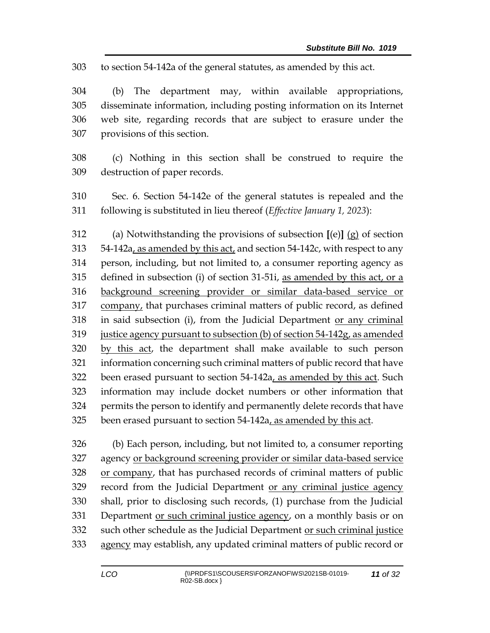to section 54-142a of the general statutes, as amended by this act.

 (b) The department may, within available appropriations, disseminate information, including posting information on its Internet web site, regarding records that are subject to erasure under the provisions of this section.

 (c) Nothing in this section shall be construed to require the destruction of paper records.

 Sec. 6. Section 54-142e of the general statutes is repealed and the following is substituted in lieu thereof (*Effective January 1, 2023*):

 (a) Notwithstanding the provisions of subsection **[**(e)**]** (g) of section 54-142a, as amended by this act, and section 54-142c, with respect to any person, including, but not limited to, a consumer reporting agency as defined in subsection (i) of section 31-51i, as amended by this act, or a background screening provider or similar data-based service or company, that purchases criminal matters of public record, as defined in said subsection (i), from the Judicial Department or any criminal justice agency pursuant to subsection (b) of section 54-142g, as amended by this act, the department shall make available to such person information concerning such criminal matters of public record that have 322 been erased pursuant to section 54-142a, as amended by this act. Such information may include docket numbers or other information that permits the person to identify and permanently delete records that have 325 been erased pursuant to section 54-142a, as amended by this act.

 (b) Each person, including, but not limited to, a consumer reporting agency or background screening provider or similar data-based service or company, that has purchased records of criminal matters of public record from the Judicial Department or any criminal justice agency shall, prior to disclosing such records, (1) purchase from the Judicial Department or such criminal justice agency, on a monthly basis or on 332 such other schedule as the Judicial Department or such criminal justice 333 agency may establish, any updated criminal matters of public record or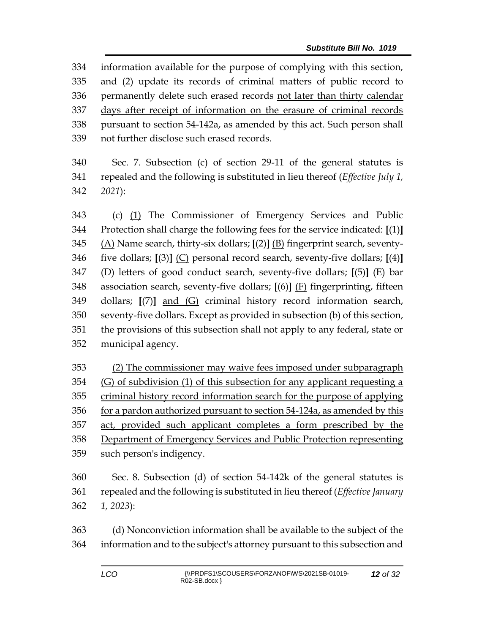information available for the purpose of complying with this section, and (2) update its records of criminal matters of public record to permanently delete such erased records not later than thirty calendar days after receipt of information on the erasure of criminal records pursuant to section 54-142a, as amended by this act. Such person shall not further disclose such erased records.

 Sec. 7. Subsection (c) of section 29-11 of the general statutes is repealed and the following is substituted in lieu thereof (*Effective July 1, 2021*):

 (c) (1) The Commissioner of Emergency Services and Public Protection shall charge the following fees for the service indicated: **[**(1)**]** (A) Name search, thirty-six dollars; **[**(2)**]** (B) fingerprint search, seventy- five dollars; **[**(3)**]** (C) personal record search, seventy-five dollars; **[**(4)**]** (D) letters of good conduct search, seventy-five dollars; **[**(5)**]** (E) bar association search, seventy-five dollars; **[**(6)**]** (F) fingerprinting, fifteen dollars; **[**(7)**]** and (G) criminal history record information search, seventy-five dollars. Except as provided in subsection (b) of this section, the provisions of this subsection shall not apply to any federal, state or municipal agency.

 (2) The commissioner may waive fees imposed under subparagraph (G) of subdivision (1) of this subsection for any applicant requesting a criminal history record information search for the purpose of applying for a pardon authorized pursuant to section 54-124a, as amended by this 357 act, provided such applicant completes a form prescribed by the Department of Emergency Services and Public Protection representing such person's indigency.

 Sec. 8. Subsection (d) of section 54-142k of the general statutes is repealed and the following is substituted in lieu thereof (*Effective January 1, 2023*):

 (d) Nonconviction information shall be available to the subject of the information and to the subject's attorney pursuant to this subsection and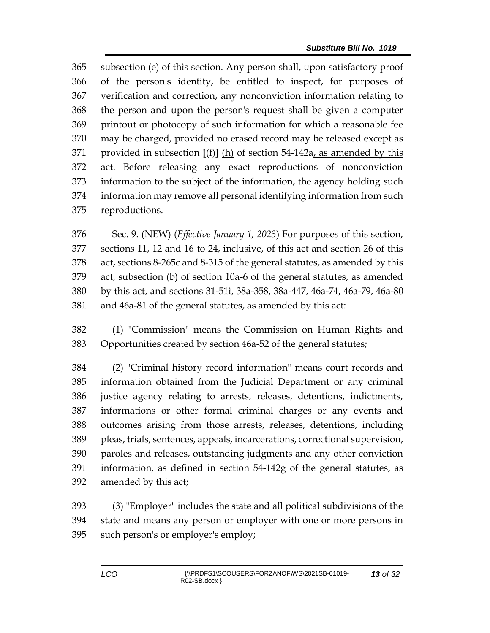subsection (e) of this section. Any person shall, upon satisfactory proof of the person's identity, be entitled to inspect, for purposes of verification and correction, any nonconviction information relating to the person and upon the person's request shall be given a computer printout or photocopy of such information for which a reasonable fee may be charged, provided no erased record may be released except as provided in subsection **[**(f)**]** (h) of section 54-142a, as amended by this act. Before releasing any exact reproductions of nonconviction information to the subject of the information, the agency holding such information may remove all personal identifying information from such reproductions.

 Sec. 9. (NEW) (*Effective January 1, 2023*) For purposes of this section, sections 11, 12 and 16 to 24, inclusive, of this act and section 26 of this act, sections 8-265c and 8-315 of the general statutes, as amended by this act, subsection (b) of section 10a-6 of the general statutes, as amended by this act, and sections 31-51i, 38a-358, 38a-447, 46a-74, 46a-79, 46a-80 and 46a-81 of the general statutes, as amended by this act:

 (1) "Commission" means the Commission on Human Rights and Opportunities created by section 46a-52 of the general statutes;

 (2) "Criminal history record information" means court records and information obtained from the Judicial Department or any criminal justice agency relating to arrests, releases, detentions, indictments, informations or other formal criminal charges or any events and outcomes arising from those arrests, releases, detentions, including pleas, trials, sentences, appeals, incarcerations, correctional supervision, paroles and releases, outstanding judgments and any other conviction information, as defined in [section 54-142g](https://1.next.westlaw.com/Link/Document/FullText?findType=L&pubNum=1000264&cite=CTSTS54-142G&originatingDoc=ND7547DF0547E11E6A483DFBDA551E575&refType=LQ&originationContext=document&transitionType=DocumentItem&contextData=(sc.Search)) of the general statutes, as amended by this act;

 (3) "Employer" includes the state and all political subdivisions of the state and means any person or employer with one or more persons in such person's or employer's employ;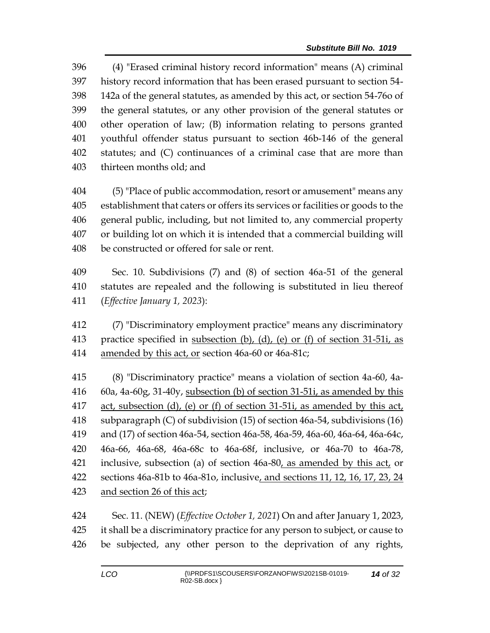(4) "Erased criminal history record information" means (A) criminal history record information that has been erased pursuant to section 54- 142a of the general statutes, as amended by this act, or section 54-76o of the general statutes, or any other provision of the general statutes or other operation of law; (B) information relating to persons granted youthful offender status pursuant to section 46b-146 of the general statutes; and (C) continuances of a criminal case that are more than thirteen months old; and

 (5) "Place of public accommodation, resort or amusement" means any establishment that caters or offers its services or facilities or goods to the general public, including, but not limited to, any commercial property or building lot on which it is intended that a commercial building will be constructed or offered for sale or rent.

 Sec. 10. Subdivisions (7) and (8) of section 46a-51 of the general statutes are repealed and the following is substituted in lieu thereof (*Effective January 1, 2023*):

 (7) "Discriminatory employment practice" means any discriminatory practice specified in subsection (b), (d), (e) or (f) of section 31-51i, as amended by this act, or section 46a-60 or 46a-81c;

 (8) "Discriminatory practice" means a violation of section 4a-60, 4a- 60a, 4a-60g, 31-40y, subsection (b) of section 31-51i, as amended by this act, subsection (d), (e) or (f) of section 31-51i, as amended by this act, subparagraph (C) of subdivision (15) of section 46a-54, subdivisions (16) and (17) of section 46a-54, section 46a-58, 46a-59, 46a-60, 46a-64, 46a-64c, 46a-66, 46a-68, 46a-68c to 46a-68f, inclusive, or 46a-70 to 46a-78, inclusive, subsection (a) of section 46a-80, as amended by this act, or sections 46a-81b to 46a-81o, inclusive, and sections 11, 12, 16, 17, 23, 24 and section 26 of this act;

 Sec. 11. (NEW) (*Effective October 1, 2021*) On and after January 1, 2023, it shall be a discriminatory practice for any person to subject, or cause to be subjected, any other person to the deprivation of any rights,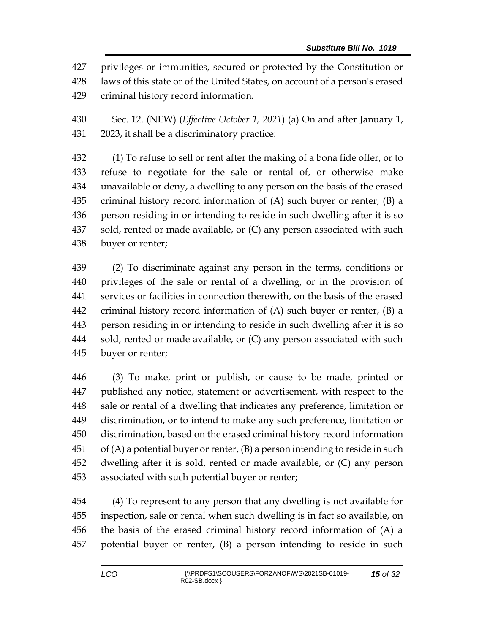privileges or immunities, secured or protected by the Constitution or laws of this state or of the United States, on account of a person's erased criminal history record information.

 Sec. 12. (NEW) (*Effective October 1, 2021*) (a) On and after January 1, 2023, it shall be a discriminatory practice:

 (1) To refuse to sell or rent after the making of a bona fide offer, or to refuse to negotiate for the sale or rental of, or otherwise make unavailable or deny, a dwelling to any person on the basis of the erased criminal history record information of (A) such buyer or renter, (B) a person residing in or intending to reside in such dwelling after it is so sold, rented or made available, or (C) any person associated with such buyer or renter;

 (2) To discriminate against any person in the terms, conditions or privileges of the sale or rental of a dwelling, or in the provision of services or facilities in connection therewith, on the basis of the erased criminal history record information of (A) such buyer or renter, (B) a person residing in or intending to reside in such dwelling after it is so 444 sold, rented or made available, or (C) any person associated with such buyer or renter;

 (3) To make, print or publish, or cause to be made, printed or published any notice, statement or advertisement, with respect to the sale or rental of a dwelling that indicates any preference, limitation or discrimination, or to intend to make any such preference, limitation or discrimination, based on the erased criminal history record information of (A) a potential buyer or renter, (B) a person intending to reside in such dwelling after it is sold, rented or made available, or (C) any person associated with such potential buyer or renter;

 (4) To represent to any person that any dwelling is not available for inspection, sale or rental when such dwelling is in fact so available, on the basis of the erased criminal history record information of (A) a potential buyer or renter, (B) a person intending to reside in such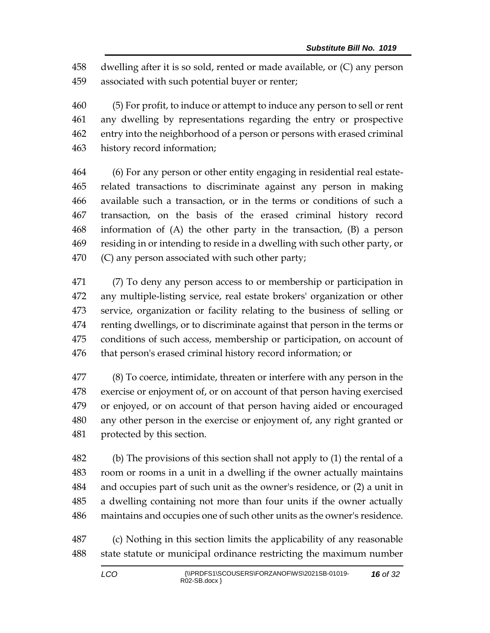dwelling after it is so sold, rented or made available, or (C) any person associated with such potential buyer or renter;

 (5) For profit, to induce or attempt to induce any person to sell or rent any dwelling by representations regarding the entry or prospective entry into the neighborhood of a person or persons with erased criminal history record information;

 (6) For any person or other entity engaging in residential real estate- related transactions to discriminate against any person in making available such a transaction, or in the terms or conditions of such a transaction, on the basis of the erased criminal history record information of (A) the other party in the transaction, (B) a person residing in or intending to reside in a dwelling with such other party, or (C) any person associated with such other party;

 (7) To deny any person access to or membership or participation in any multiple-listing service, real estate brokers' organization or other service, organization or facility relating to the business of selling or renting dwellings, or to discriminate against that person in the terms or conditions of such access, membership or participation, on account of that person's erased criminal history record information; or

 (8) To coerce, intimidate, threaten or interfere with any person in the exercise or enjoyment of, or on account of that person having exercised or enjoyed, or on account of that person having aided or encouraged any other person in the exercise or enjoyment of, any right granted or protected by this section.

 (b) The provisions of this section shall not apply to (1) the rental of a room or rooms in a unit in a dwelling if the owner actually maintains and occupies part of such unit as the owner's residence, or (2) a unit in a dwelling containing not more than four units if the owner actually maintains and occupies one of such other units as the owner's residence.

 (c) Nothing in this section limits the applicability of any reasonable state statute or municipal ordinance restricting the maximum number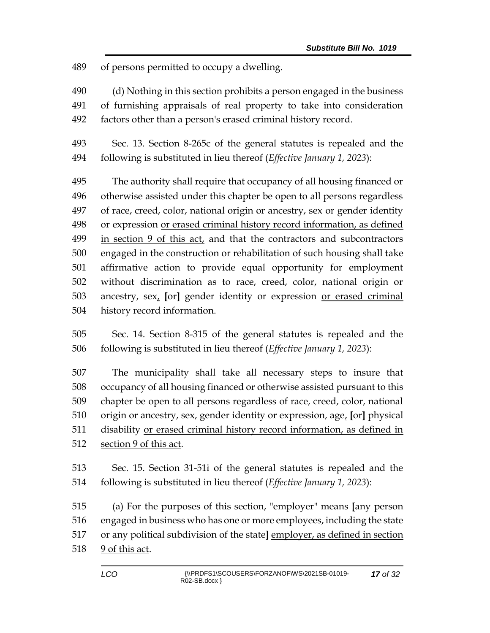of persons permitted to occupy a dwelling.

- (d) Nothing in this section prohibits a person engaged in the business of furnishing appraisals of real property to take into consideration
- factors other than a person's erased criminal history record.
- Sec. 13. Section 8-265c of the general statutes is repealed and the following is substituted in lieu thereof (*Effective January 1, 2023*):

 The authority shall require that occupancy of all housing financed or otherwise assisted under this chapter be open to all persons regardless of race, creed, color, national origin or ancestry, sex or gender identity or expression or erased criminal history record information, as defined in section 9 of this act, and that the contractors and subcontractors engaged in the construction or rehabilitation of such housing shall take affirmative action to provide equal opportunity for employment without discrimination as to race, creed, color, national origin or ancestry, sex, **[**or**]** gender identity or expression or erased criminal history record information.

 Sec. 14. Section 8-315 of the general statutes is repealed and the following is substituted in lieu thereof (*Effective January 1, 2023*):

 The municipality shall take all necessary steps to insure that occupancy of all housing financed or otherwise assisted pursuant to this chapter be open to all persons regardless of race, creed, color, national origin or ancestry, sex, gender identity or expression, age, **[**or**]** physical disability or erased criminal history record information, as defined in section 9 of this act.

 Sec. 15. Section 31-51i of the general statutes is repealed and the following is substituted in lieu thereof (*Effective January 1, 2023*):

 (a) For the purposes of this section, "employer" means **[**any person engaged in business who has one or more employees, including the state or any political subdivision of the state**]** employer, as defined in section 9 of this act.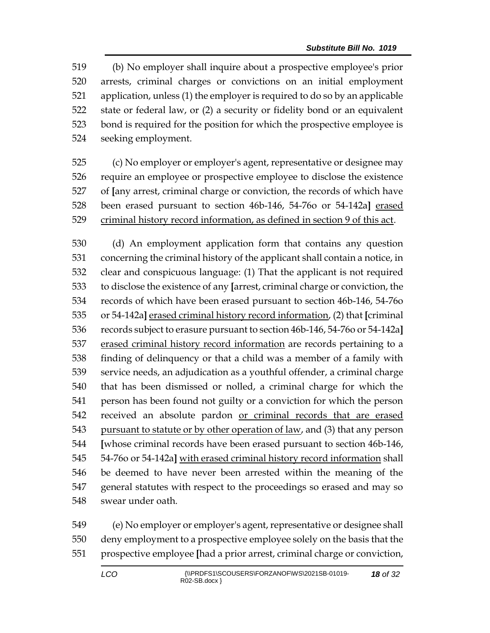(b) No employer shall inquire about a prospective employee's prior arrests, criminal charges or convictions on an initial employment application, unless (1) the employer is required to do so by an applicable state or federal law, or (2) a security or fidelity bond or an equivalent bond is required for the position for which the prospective employee is seeking employment.

 (c) No employer or employer's agent, representative or designee may require an employee or prospective employee to disclose the existence of **[**any arrest, criminal charge or conviction, the records of which have been erased pursuant to section 46b-146, 54-76o or 54-142a**]** erased criminal history record information, as defined in section 9 of this act.

 (d) An employment application form that contains any question concerning the criminal history of the applicant shall contain a notice, in clear and conspicuous language: (1) That the applicant is not required to disclose the existence of any **[**arrest, criminal charge or conviction, the records of which have been erased pursuant to section 46b-146, 54-76o or 54-142a**]** erased criminal history record information, (2) that **[**criminal records subject to erasure pursuant to section 46b-146, 54-76o or 54-142a**]** 537 erased criminal history record information are records pertaining to a finding of delinquency or that a child was a member of a family with service needs, an adjudication as a youthful offender, a criminal charge that has been dismissed or nolled, a criminal charge for which the person has been found not guilty or a conviction for which the person received an absolute pardon or criminal records that are erased 543 pursuant to statute or by other operation of law, and (3) that any person **[**whose criminal records have been erased pursuant to section 46b-146, 54-76o or 54-142a**]** with erased criminal history record information shall be deemed to have never been arrested within the meaning of the general statutes with respect to the proceedings so erased and may so swear under oath.

 (e) No employer or employer's agent, representative or designee shall deny employment to a prospective employee solely on the basis that the prospective employee **[**had a prior arrest, criminal charge or conviction,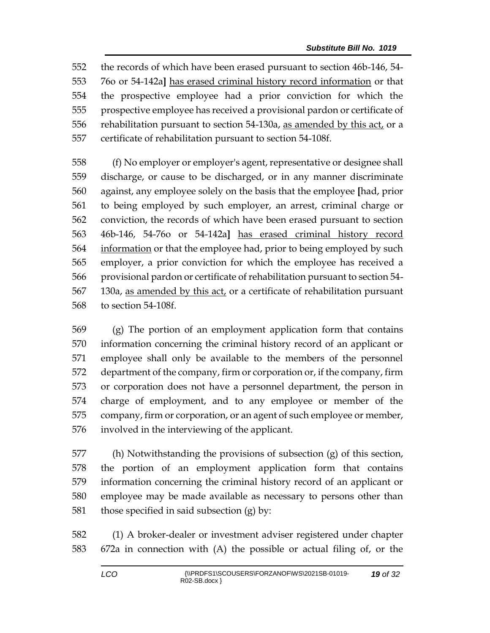the records of which have been erased pursuant to section 46b-146, 54- 76o or 54-142a**]** has erased criminal history record information or that the prospective employee had a prior conviction for which the prospective employee has received a provisional pardon or certificate of 556 rehabilitation pursuant to section 54-130a, as amended by this act, or a certificate of rehabilitation pursuant to section 54-108f.

 (f) No employer or employer's agent, representative or designee shall discharge, or cause to be discharged, or in any manner discriminate against, any employee solely on the basis that the employee **[**had, prior to being employed by such employer, an arrest, criminal charge or conviction, the records of which have been erased pursuant to section 46b-146, 54-76o or 54-142a**]** has erased criminal history record information or that the employee had, prior to being employed by such employer, a prior conviction for which the employee has received a provisional pardon or certificate of rehabilitation pursuant to section 54- 130a, as amended by this act, or a certificate of rehabilitation pursuant to section 54-108f.

 (g) The portion of an employment application form that contains information concerning the criminal history record of an applicant or employee shall only be available to the members of the personnel department of the company, firm or corporation or, if the company, firm or corporation does not have a personnel department, the person in charge of employment, and to any employee or member of the company, firm or corporation, or an agent of such employee or member, involved in the interviewing of the applicant.

 (h) Notwithstanding the provisions of subsection (g) of this section, the portion of an employment application form that contains information concerning the criminal history record of an applicant or employee may be made available as necessary to persons other than 581 those specified in said subsection  $(g)$  by:

 (1) A broker-dealer or investment adviser registered under chapter 672a in connection with (A) the possible or actual filing of, or the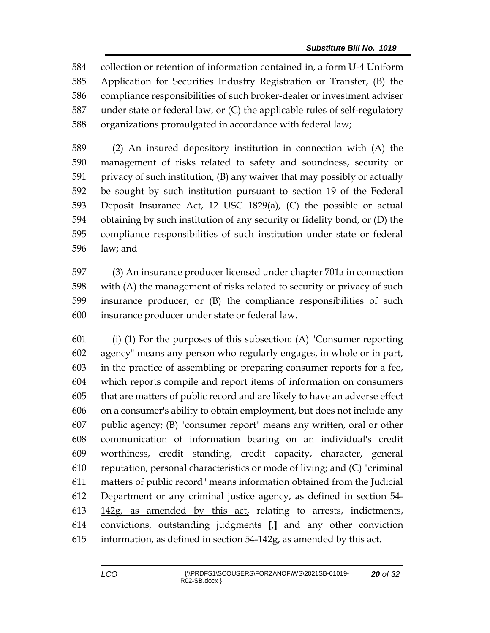collection or retention of information contained in, a form U-4 Uniform Application for Securities Industry Registration or Transfer, (B) the compliance responsibilities of such broker-dealer or investment adviser under state or federal law, or (C) the applicable rules of self-regulatory organizations promulgated in accordance with federal law;

 (2) An insured depository institution in connection with (A) the management of risks related to safety and soundness, security or privacy of such institution, (B) any waiver that may possibly or actually be sought by such institution pursuant to section 19 of the Federal Deposit Insurance Act, 12 USC 1829(a), (C) the possible or actual obtaining by such institution of any security or fidelity bond, or (D) the compliance responsibilities of such institution under state or federal law; and

 (3) An insurance producer licensed under chapter 701a in connection with (A) the management of risks related to security or privacy of such insurance producer, or (B) the compliance responsibilities of such insurance producer under state or federal law.

 (i) (1) For the purposes of this subsection: (A) "Consumer reporting agency" means any person who regularly engages, in whole or in part, in the practice of assembling or preparing consumer reports for a fee, which reports compile and report items of information on consumers that are matters of public record and are likely to have an adverse effect on a consumer's ability to obtain employment, but does not include any public agency; (B) "consumer report" means any written, oral or other communication of information bearing on an individual's credit worthiness, credit standing, credit capacity, character, general reputation, personal characteristics or mode of living; and (C) "criminal matters of public record" means information obtained from the Judicial Department or any criminal justice agency, as defined in section 54- 142g, as amended by this act, relating to arrests, indictments, convictions, outstanding judgments **[**,**]** and any other conviction information, as defined in section 54-142g, as amended by this act.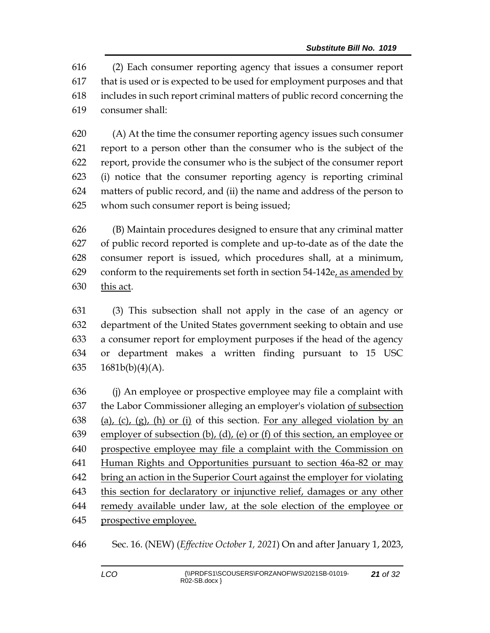(2) Each consumer reporting agency that issues a consumer report that is used or is expected to be used for employment purposes and that includes in such report criminal matters of public record concerning the consumer shall:

 (A) At the time the consumer reporting agency issues such consumer report to a person other than the consumer who is the subject of the report, provide the consumer who is the subject of the consumer report (i) notice that the consumer reporting agency is reporting criminal matters of public record, and (ii) the name and address of the person to whom such consumer report is being issued;

 (B) Maintain procedures designed to ensure that any criminal matter of public record reported is complete and up-to-date as of the date the consumer report is issued, which procedures shall, at a minimum, 629 conform to the requirements set forth in section  $54-142e<sub>L</sub>$  as amended by this act.

 (3) This subsection shall not apply in the case of an agency or department of the United States government seeking to obtain and use a consumer report for employment purposes if the head of the agency or department makes a written finding pursuant to 15 USC  $1681b(b)(4)(A)$ .

 (j) An employee or prospective employee may file a complaint with the Labor Commissioner alleging an employer's violation of subsection 638 (a), (c), (g), (h) or (i) of this section. For any alleged violation by an employer of subsection (b), (d), (e) or (f) of this section, an employee or prospective employee may file a complaint with the Commission on Human Rights and Opportunities pursuant to section 46a-82 or may bring an action in the Superior Court against the employer for violating this section for declaratory or injunctive relief, damages or any other remedy available under law, at the sole election of the employee or prospective employee.

Sec. 16. (NEW) (*Effective October 1, 2021*) On and after January 1, 2023,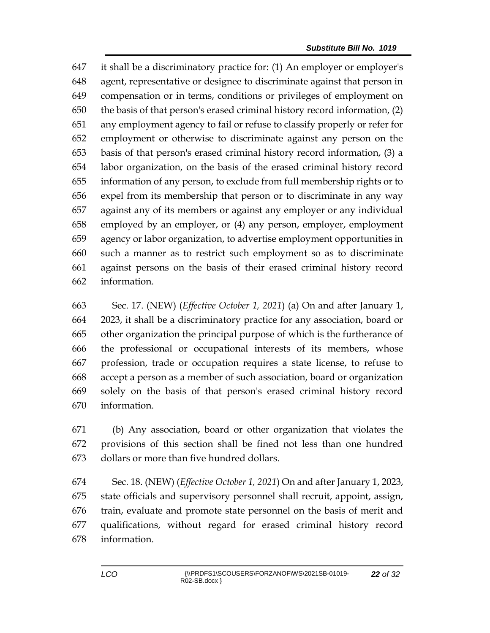it shall be a discriminatory practice for: (1) An employer or employer's agent, representative or designee to discriminate against that person in compensation or in terms, conditions or privileges of employment on the basis of that person's erased criminal history record information, (2) any employment agency to fail or refuse to classify properly or refer for employment or otherwise to discriminate against any person on the basis of that person's erased criminal history record information, (3) a labor organization, on the basis of the erased criminal history record information of any person, to exclude from full membership rights or to expel from its membership that person or to discriminate in any way against any of its members or against any employer or any individual employed by an employer, or (4) any person, employer, employment agency or labor organization, to advertise employment opportunities in such a manner as to restrict such employment so as to discriminate against persons on the basis of their erased criminal history record information.

 Sec. 17. (NEW) (*Effective October 1, 2021*) (a) On and after January 1, 2023, it shall be a discriminatory practice for any association, board or other organization the principal purpose of which is the furtherance of the professional or occupational interests of its members, whose profession, trade or occupation requires a state license, to refuse to accept a person as a member of such association, board or organization solely on the basis of that person's erased criminal history record information.

 (b) Any association, board or other organization that violates the provisions of this section shall be fined not less than one hundred dollars or more than five hundred dollars.

 Sec. 18. (NEW) (*Effective October 1, 2021*) On and after January 1, 2023, state officials and supervisory personnel shall recruit, appoint, assign, train, evaluate and promote state personnel on the basis of merit and qualifications, without regard for erased criminal history record information.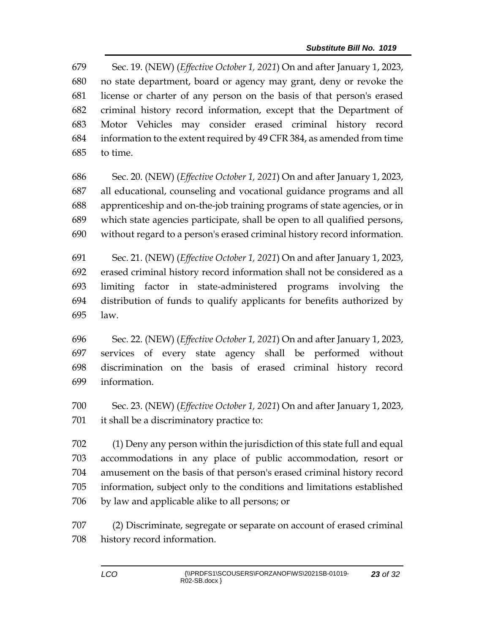Sec. 19. (NEW) (*Effective October 1, 2021*) On and after January 1, 2023, no state department, board or agency may grant, deny or revoke the license or charter of any person on the basis of that person's erased criminal history record information, except that the Department of Motor Vehicles may consider erased criminal history record information to the extent required by 49 CFR 384, as amended from time to time.

 Sec. 20. (NEW) (*Effective October 1, 2021*) On and after January 1, 2023, all educational, counseling and vocational guidance programs and all apprenticeship and on-the-job training programs of state agencies, or in which state agencies participate, shall be open to all qualified persons, without regard to a person's erased criminal history record information.

 Sec. 21. (NEW) (*Effective October 1, 2021*) On and after January 1, 2023, erased criminal history record information shall not be considered as a limiting factor in state-administered programs involving the distribution of funds to qualify applicants for benefits authorized by law.

 Sec. 22. (NEW) (*Effective October 1, 2021*) On and after January 1, 2023, services of every state agency shall be performed without discrimination on the basis of erased criminal history record information.

 Sec. 23. (NEW) (*Effective October 1, 2021*) On and after January 1, 2023, it shall be a discriminatory practice to:

 (1) Deny any person within the jurisdiction of this state full and equal accommodations in any place of public accommodation, resort or amusement on the basis of that person's erased criminal history record information, subject only to the conditions and limitations established by law and applicable alike to all persons; or

 (2) Discriminate, segregate or separate on account of erased criminal history record information.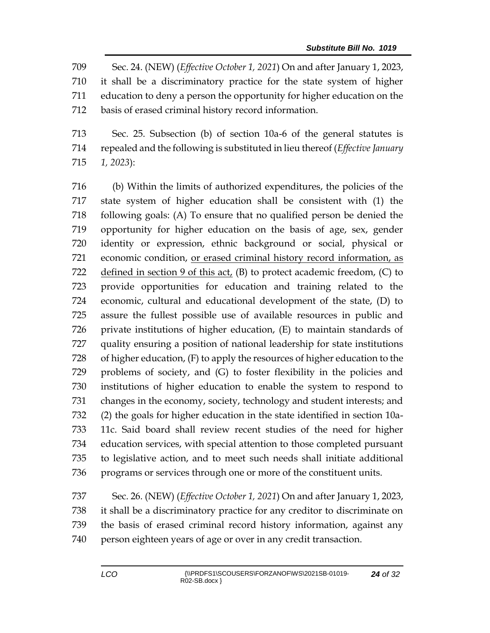Sec. 24. (NEW) (*Effective October 1, 2021*) On and after January 1, 2023, it shall be a discriminatory practice for the state system of higher education to deny a person the opportunity for higher education on the basis of erased criminal history record information.

 Sec. 25. Subsection (b) of section 10a-6 of the general statutes is repealed and the following is substituted in lieu thereof (*Effective January 1, 2023*):

 (b) Within the limits of authorized expenditures, the policies of the state system of higher education shall be consistent with (1) the following goals: (A) To ensure that no qualified person be denied the opportunity for higher education on the basis of age, sex, gender identity or expression, ethnic background or social, physical or economic condition, or erased criminal history record information, as 722 defined in section 9 of this  $act_{\ell}$  (B) to protect academic freedom, (C) to provide opportunities for education and training related to the economic, cultural and educational development of the state, (D) to assure the fullest possible use of available resources in public and private institutions of higher education, (E) to maintain standards of quality ensuring a position of national leadership for state institutions of higher education, (F) to apply the resources of higher education to the problems of society, and (G) to foster flexibility in the policies and institutions of higher education to enable the system to respond to changes in the economy, society, technology and student interests; and (2) the goals for higher education in the state identified in section 10a- 11c. Said board shall review recent studies of the need for higher education services, with special attention to those completed pursuant to legislative action, and to meet such needs shall initiate additional programs or services through one or more of the constituent units.

 Sec. 26. (NEW) (*Effective October 1, 2021*) On and after January 1, 2023, it shall be a discriminatory practice for any creditor to discriminate on the basis of erased criminal record history information, against any person eighteen years of age or over in any credit transaction.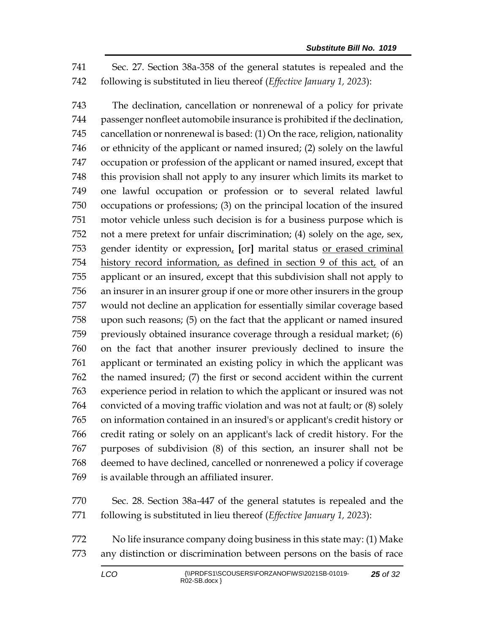Sec. 27. Section 38a-358 of the general statutes is repealed and the following is substituted in lieu thereof (*Effective January 1, 2023*):

 The declination, cancellation or nonrenewal of a policy for private passenger nonfleet automobile insurance is prohibited if the declination, cancellation or nonrenewal is based: (1) On the race, religion, nationality or ethnicity of the applicant or named insured; (2) solely on the lawful occupation or profession of the applicant or named insured, except that this provision shall not apply to any insurer which limits its market to one lawful occupation or profession or to several related lawful occupations or professions; (3) on the principal location of the insured motor vehicle unless such decision is for a business purpose which is not a mere pretext for unfair discrimination; (4) solely on the age, sex, gender identity or expression, **[**or**]** marital status or erased criminal history record information, as defined in section 9 of this act, of an applicant or an insured, except that this subdivision shall not apply to an insurer in an insurer group if one or more other insurers in the group would not decline an application for essentially similar coverage based upon such reasons; (5) on the fact that the applicant or named insured previously obtained insurance coverage through a residual market; (6) on the fact that another insurer previously declined to insure the applicant or terminated an existing policy in which the applicant was the named insured; (7) the first or second accident within the current experience period in relation to which the applicant or insured was not convicted of a moving traffic violation and was not at fault; or (8) solely on information contained in an insured's or applicant's credit history or credit rating or solely on an applicant's lack of credit history. For the purposes of subdivision (8) of this section, an insurer shall not be deemed to have declined, cancelled or nonrenewed a policy if coverage is available through an affiliated insurer.

 Sec. 28. Section 38a-447 of the general statutes is repealed and the following is substituted in lieu thereof (*Effective January 1, 2023*):

 No life insurance company doing business in this state may: (1) Make any distinction or discrimination between persons on the basis of race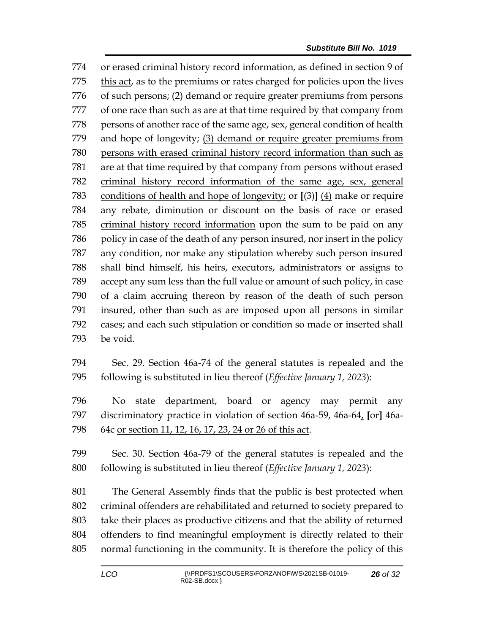or erased criminal history record information, as defined in section 9 of this act, as to the premiums or rates charged for policies upon the lives of such persons; (2) demand or require greater premiums from persons of one race than such as are at that time required by that company from 778 persons of another race of the same age, sex, general condition of health and hope of longevity; (3) demand or require greater premiums from persons with erased criminal history record information than such as are at that time required by that company from persons without erased criminal history record information of the same age, sex, general conditions of health and hope of longevity; or **[**(3)**]** (4) make or require any rebate, diminution or discount on the basis of race or erased criminal history record information upon the sum to be paid on any policy in case of the death of any person insured, nor insert in the policy any condition, nor make any stipulation whereby such person insured shall bind himself, his heirs, executors, administrators or assigns to accept any sum less than the full value or amount of such policy, in case of a claim accruing thereon by reason of the death of such person insured, other than such as are imposed upon all persons in similar cases; and each such stipulation or condition so made or inserted shall be void.

 Sec. 29. Section 46a-74 of the general statutes is repealed and the following is substituted in lieu thereof (*Effective January 1, 2023*):

 No state department, board or agency may permit any discriminatory practice in violation of section 46a-59, 46a-64, **[**or**]** 46a-64c or section 11, 12, 16, 17, 23, 24 or 26 of this act.

 Sec. 30. Section 46a-79 of the general statutes is repealed and the following is substituted in lieu thereof (*Effective January 1, 2023*):

 The General Assembly finds that the public is best protected when criminal offenders are rehabilitated and returned to society prepared to take their places as productive citizens and that the ability of returned offenders to find meaningful employment is directly related to their normal functioning in the community. It is therefore the policy of this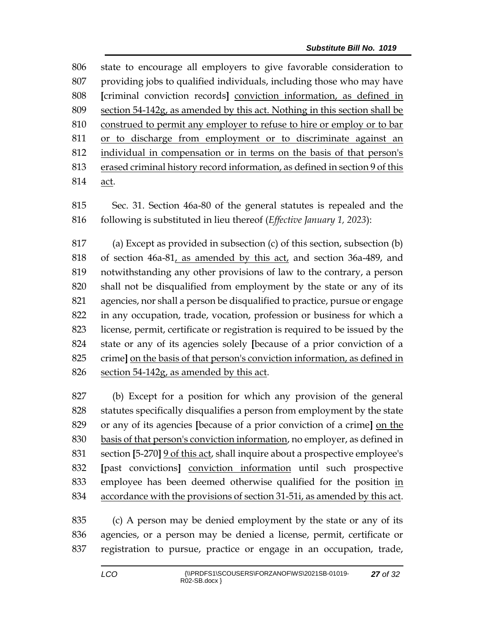state to encourage all employers to give favorable consideration to providing jobs to qualified individuals, including those who may have **[**criminal conviction records**]** conviction information, as defined in section 54-142g, as amended by this act. Nothing in this section shall be construed to permit any employer to refuse to hire or employ or to bar or to discharge from employment or to discriminate against an individual in compensation or in terms on the basis of that person's erased criminal history record information, as defined in section 9 of this act.

 Sec. 31. Section 46a-80 of the general statutes is repealed and the following is substituted in lieu thereof (*Effective January 1, 2023*):

 (a) Except as provided in subsection (c) of this section, subsection (b) of section 46a-81, as amended by this act, and section 36a-489, and notwithstanding any other provisions of law to the contrary, a person shall not be disqualified from employment by the state or any of its agencies, nor shall a person be disqualified to practice, pursue or engage in any occupation, trade, vocation, profession or business for which a license, permit, certificate or registration is required to be issued by the state or any of its agencies solely **[**because of a prior conviction of a crime**]** on the basis of that person's conviction information, as defined in 826 section 54-142g, as amended by this act.

 (b) Except for a position for which any provision of the general statutes specifically disqualifies a person from employment by the state or any of its agencies **[**because of a prior conviction of a crime**]** on the basis of that person's conviction information, no employer, as defined in section **[**5-270**]** 9 of this act, shall inquire about a prospective employee's **[**past convictions**]** conviction information until such prospective 833 employee has been deemed otherwise qualified for the position in accordance with the provisions of section 31-51i, as amended by this act.

 (c) A person may be denied employment by the state or any of its agencies, or a person may be denied a license, permit, certificate or registration to pursue, practice or engage in an occupation, trade,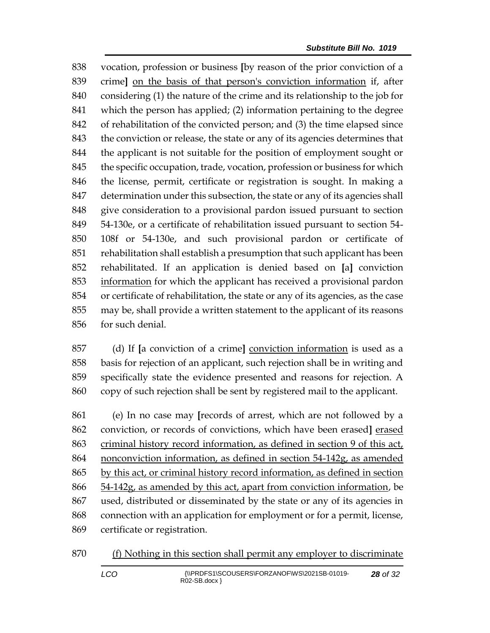vocation, profession or business **[**by reason of the prior conviction of a crime**]** on the basis of that person's conviction information if, after considering (1) the nature of the crime and its relationship to the job for which the person has applied; (2) information pertaining to the degree of rehabilitation of the convicted person; and (3) the time elapsed since the conviction or release, the state or any of its agencies determines that the applicant is not suitable for the position of employment sought or the specific occupation, trade, vocation, profession or business for which the license, permit, certificate or registration is sought. In making a determination under this subsection, the state or any of its agencies shall give consideration to a provisional pardon issued pursuant to section 54-130e, or a certificate of rehabilitation issued pursuant to section 54- 108f or 54-130e, and such provisional pardon or certificate of rehabilitation shall establish a presumption that such applicant has been rehabilitated. If an application is denied based on **[**a**]** conviction information for which the applicant has received a provisional pardon or certificate of rehabilitation, the state or any of its agencies, as the case may be, shall provide a written statement to the applicant of its reasons for such denial.

 (d) If **[**a conviction of a crime**]** conviction information is used as a basis for rejection of an applicant, such rejection shall be in writing and specifically state the evidence presented and reasons for rejection. A copy of such rejection shall be sent by registered mail to the applicant.

 (e) In no case may **[**records of arrest, which are not followed by a conviction, or records of convictions, which have been erased**]** erased criminal history record information, as defined in section 9 of this act, nonconviction information, as defined in section 54-142g, as amended by this act, or criminal history record information, as defined in section 54-142g, as amended by this act, apart from conviction information, be used, distributed or disseminated by the state or any of its agencies in connection with an application for employment or for a permit, license, certificate or registration.

(f) Nothing in this section shall permit any employer to discriminate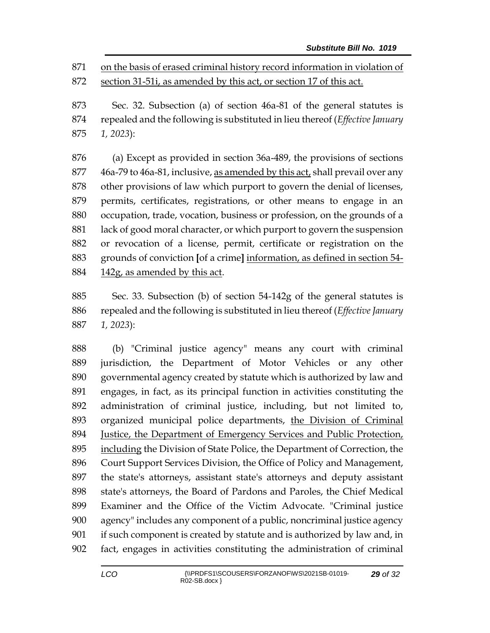on the basis of erased criminal history record information in violation of section 31-51i, as amended by this act, or section 17 of this act.

 Sec. 32. Subsection (a) of section 46a-81 of the general statutes is repealed and the following is substituted in lieu thereof (*Effective January 1, 2023*):

 (a) Except as provided in section 36a-489, the provisions of sections 46a-79 to 46a-81, inclusive, as amended by this act, shall prevail over any other provisions of law which purport to govern the denial of licenses, permits, certificates, registrations, or other means to engage in an occupation, trade, vocation, business or profession, on the grounds of a lack of good moral character, or which purport to govern the suspension or revocation of a license, permit, certificate or registration on the grounds of conviction **[**of a crime**]** information, as defined in section 54- 142g, as amended by this act.

 Sec. 33. Subsection (b) of section 54-142g of the general statutes is repealed and the following is substituted in lieu thereof (*Effective January 1, 2023*):

 (b) "Criminal justice agency" means any court with criminal jurisdiction, the Department of Motor Vehicles or any other governmental agency created by statute which is authorized by law and engages, in fact, as its principal function in activities constituting the administration of criminal justice, including, but not limited to, organized municipal police departments, the Division of Criminal Justice, the Department of Emergency Services and Public Protection, including the Division of State Police, the Department of Correction, the Court Support Services Division, the Office of Policy and Management, the state's attorneys, assistant state's attorneys and deputy assistant state's attorneys, the Board of Pardons and Paroles, the Chief Medical Examiner and the Office of the Victim Advocate. "Criminal justice agency" includes any component of a public, noncriminal justice agency if such component is created by statute and is authorized by law and, in fact, engages in activities constituting the administration of criminal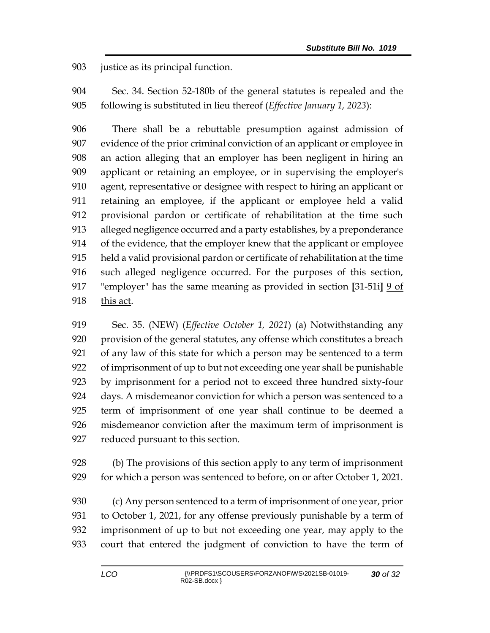justice as its principal function.

 Sec. 34. Section 52-180b of the general statutes is repealed and the following is substituted in lieu thereof (*Effective January 1, 2023*):

 There shall be a rebuttable presumption against admission of evidence of the prior criminal conviction of an applicant or employee in an action alleging that an employer has been negligent in hiring an applicant or retaining an employee, or in supervising the employer's agent, representative or designee with respect to hiring an applicant or retaining an employee, if the applicant or employee held a valid provisional pardon or certificate of rehabilitation at the time such alleged negligence occurred and a party establishes, by a preponderance of the evidence, that the employer knew that the applicant or employee held a valid provisional pardon or certificate of rehabilitation at the time such alleged negligence occurred. For the purposes of this section, "employer" has the same meaning as provided in section **[**31-51i**]** 9 of this act.

 Sec. 35. (NEW) (*Effective October 1, 2021*) (a) Notwithstanding any provision of the general statutes, any offense which constitutes a breach of any law of this state for which a person may be sentenced to a term of imprisonment of up to but not exceeding one year shall be punishable by imprisonment for a period not to exceed three hundred sixty-four days. A misdemeanor conviction for which a person was sentenced to a term of imprisonment of one year shall continue to be deemed a misdemeanor conviction after the maximum term of imprisonment is reduced pursuant to this section.

 (b) The provisions of this section apply to any term of imprisonment for which a person was sentenced to before, on or after October 1, 2021.

 (c) Any person sentenced to a term of imprisonment of one year, prior to October 1, 2021, for any offense previously punishable by a term of imprisonment of up to but not exceeding one year, may apply to the court that entered the judgment of conviction to have the term of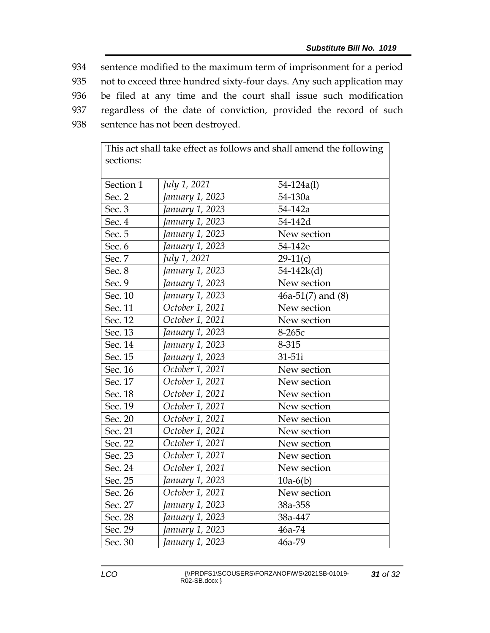sentence modified to the maximum term of imprisonment for a period not to exceed three hundred sixty-four days. Any such application may be filed at any time and the court shall issue such modification regardless of the date of conviction, provided the record of such sentence has not been destroyed.

| sections: |                 |                       |
|-----------|-----------------|-----------------------|
| Section 1 | July 1, 2021    | $54 - 124a(1)$        |
| Sec. 2    | January 1, 2023 | 54-130a               |
| Sec. 3    | January 1, 2023 | 54-142a               |
| Sec. 4    | January 1, 2023 | 54-142d               |
| Sec. 5    | January 1, 2023 | New section           |
| Sec. 6    | January 1, 2023 | 54-142e               |
| Sec. 7    | July 1, 2021    | $29-11(c)$            |
| Sec. 8    | January 1, 2023 | $54-142k(d)$          |
| Sec. 9    | January 1, 2023 | New section           |
| Sec. 10   | January 1, 2023 | $46a-51(7)$ and $(8)$ |
| Sec. 11   | October 1, 2021 | New section           |
| Sec. 12   | October 1, 2021 | New section           |
| Sec. 13   | January 1, 2023 | 8-265с                |
| Sec. 14   | January 1, 2023 | 8-315                 |
| Sec. 15   | January 1, 2023 | 31-51i                |
| Sec. 16   | October 1, 2021 | New section           |
| Sec. 17   | October 1, 2021 | New section           |
| Sec. 18   | October 1, 2021 | New section           |
| Sec. 19   | October 1, 2021 | New section           |
| Sec. 20   | October 1, 2021 | New section           |
| Sec. 21   | October 1, 2021 | New section           |
| Sec. 22   | October 1, 2021 | New section           |
| Sec. 23   | October 1, 2021 | New section           |
| Sec. 24   | October 1, 2021 | New section           |
| Sec. 25   | January 1, 2023 | $10a-6(b)$            |
| Sec. 26   | October 1, 2021 | New section           |
| Sec. 27   | January 1, 2023 | 38a-358               |
| Sec. 28   | January 1, 2023 | 38a-447               |
| Sec. 29   | January 1, 2023 | 46a-74                |
| Sec. 30   | January 1, 2023 | 46a-79                |

This act shall take effect as follows and shall amend the following